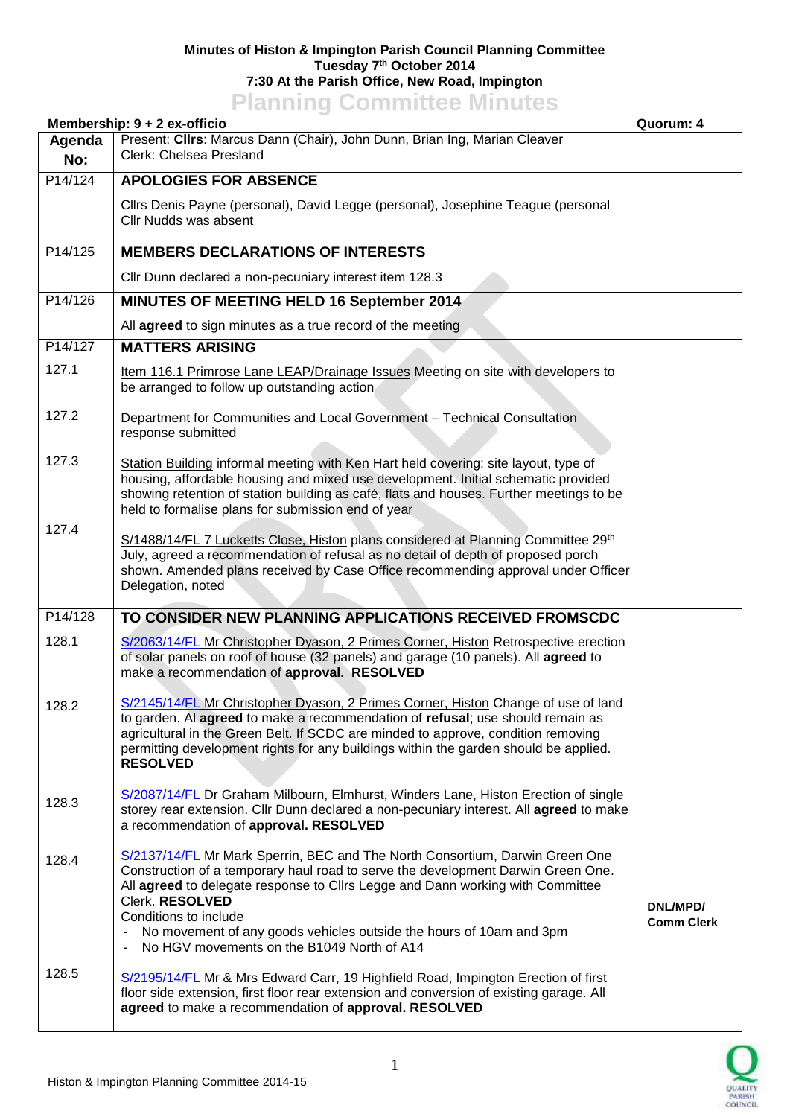## **Minutes of Histon & Impington Parish Council Planning Committee Tuesday 7 th October 2014 7:30 At the Parish Office, New Road, Impington Planning Committee Minutes**

|               | .<br>Membership: 9 + 2 ex-officio                                                                                                                                                                                                                                                                                                                                                                                                                       | Quorum: 4                     |
|---------------|---------------------------------------------------------------------------------------------------------------------------------------------------------------------------------------------------------------------------------------------------------------------------------------------------------------------------------------------------------------------------------------------------------------------------------------------------------|-------------------------------|
| Agenda<br>No: | Present: Clirs: Marcus Dann (Chair), John Dunn, Brian Ing, Marian Cleaver<br>Clerk: Chelsea Presland                                                                                                                                                                                                                                                                                                                                                    |                               |
| P14/124       | <b>APOLOGIES FOR ABSENCE</b>                                                                                                                                                                                                                                                                                                                                                                                                                            |                               |
|               | Cllrs Denis Payne (personal), David Legge (personal), Josephine Teague (personal<br>Cllr Nudds was absent                                                                                                                                                                                                                                                                                                                                               |                               |
| P14/125       | <b>MEMBERS DECLARATIONS OF INTERESTS</b>                                                                                                                                                                                                                                                                                                                                                                                                                |                               |
|               | Cllr Dunn declared a non-pecuniary interest item 128.3                                                                                                                                                                                                                                                                                                                                                                                                  |                               |
| P14/126       | MINUTES OF MEETING HELD 16 September 2014                                                                                                                                                                                                                                                                                                                                                                                                               |                               |
|               | All agreed to sign minutes as a true record of the meeting                                                                                                                                                                                                                                                                                                                                                                                              |                               |
| P14/127       | <b>MATTERS ARISING</b>                                                                                                                                                                                                                                                                                                                                                                                                                                  |                               |
| 127.1         | Item 116.1 Primrose Lane LEAP/Drainage Issues Meeting on site with developers to<br>be arranged to follow up outstanding action                                                                                                                                                                                                                                                                                                                         |                               |
| 127.2         | Department for Communities and Local Government - Technical Consultation<br>response submitted                                                                                                                                                                                                                                                                                                                                                          |                               |
| 127.3         | Station Building informal meeting with Ken Hart held covering: site layout, type of<br>housing, affordable housing and mixed use development. Initial schematic provided<br>showing retention of station building as café, flats and houses. Further meetings to be<br>held to formalise plans for submission end of year                                                                                                                               |                               |
| 127.4         | S/1488/14/FL 7 Lucketts Close, Histon plans considered at Planning Committee 29th<br>July, agreed a recommendation of refusal as no detail of depth of proposed porch<br>shown. Amended plans received by Case Office recommending approval under Officer<br>Delegation, noted                                                                                                                                                                          |                               |
| P14/128       | TO CONSIDER NEW PLANNING APPLICATIONS RECEIVED FROMSCDC                                                                                                                                                                                                                                                                                                                                                                                                 |                               |
| 128.1         | S/2063/14/FL Mr Christopher Dyason, 2 Primes Corner, Histon Retrospective erection<br>of solar panels on roof of house (32 panels) and garage (10 panels). All agreed to<br>make a recommendation of approval. RESOLVED                                                                                                                                                                                                                                 |                               |
| 128.2         | S/2145/14/FL Mr Christopher Dyason, 2 Primes Corner, Histon Change of use of land<br>to garden. Al agreed to make a recommendation of refusal; use should remain as<br>agricultural in the Green Belt. If SCDC are minded to approve, condition removing<br>permitting development rights for any buildings within the garden should be applied.<br><b>RESOLVED</b>                                                                                     |                               |
| 128.3         | S/2087/14/FL Dr Graham Milbourn, Elmhurst, Winders Lane, Histon Erection of single<br>storey rear extension. Cllr Dunn declared a non-pecuniary interest. All agreed to make<br>a recommendation of approval. RESOLVED                                                                                                                                                                                                                                  |                               |
| 128.4         | S/2137/14/FL Mr Mark Sperrin, BEC and The North Consortium, Darwin Green One<br>Construction of a temporary haul road to serve the development Darwin Green One.<br>All agreed to delegate response to Cllrs Legge and Dann working with Committee<br>Clerk. RESOLVED<br>Conditions to include<br>No movement of any goods vehicles outside the hours of 10am and 3pm<br>$\blacksquare$<br>No HGV movements on the B1049 North of A14<br>$\blacksquare$ | DNL/MPD/<br><b>Comm Clerk</b> |
| 128.5         | S/2195/14/FL Mr & Mrs Edward Carr, 19 Highfield Road, Impington Erection of first<br>floor side extension, first floor rear extension and conversion of existing garage. All<br>agreed to make a recommendation of approval. RESOLVED                                                                                                                                                                                                                   |                               |